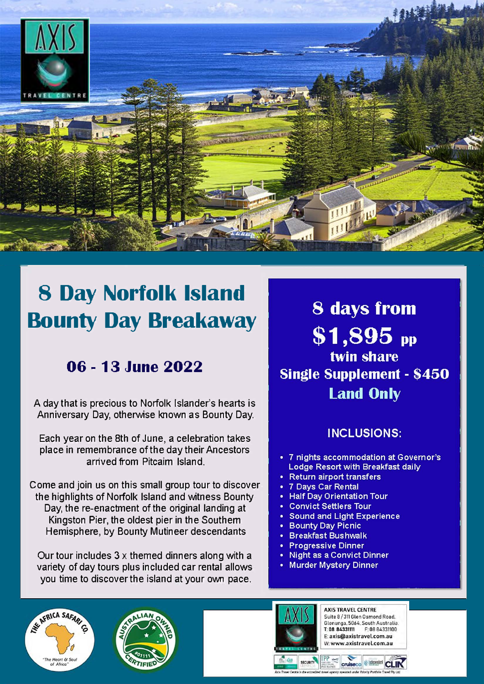

# **8 Day Norfolk Island Bounty Day Breakaway**

### **06 - 13 June 2022**

A day that is precious to Norfolk Islander's hearts is Anniversary Day, otherwise known as Bounty Day.

Each year on the 8th of June, a celebration takes place in remembrance of the day their Ancestors arrived from Pitcaim Island.

Come and join us on this small group tour to discover the highlights of Norfolk Island and witness Bounty Day, the re-enactment of the original landing at Kingston Pier, the oldest pier in the Southern Hemisphere, by Bounty Mutineer descendants

Our tour includes  $3 \times$  themed dinners along with a variety of day tours plus included car rental allows you time to discover the island at your own pace.

**8 days from**  $$1,895$  pp twin share **Single Supplement - \$450 Land Only** 

### **INCLUSIONS:**

- 7 nights accommodation at Governor's Lodge Resort with Breakfast daily
- **Return airport transfers**
- **7 Days Car Rental**
- **Half Day Orientation Tour**
- **Convict Settlers Tour**
- **Sound and Light Experience**
- **Bounty Day Picnic**  $\bullet$
- **Breakfast Bushwalk**
- **Progressive Dinner**
- **Night as a Convict Dinner**
- **Murder Mystery Dinner**

ASSIVERANCE







**AXIS TRAVEL CENTRE** Suite 8 / 311 Glen Osmond Road. Glenunga, 5064. South Australia. T: 08 84331111 F: 08 84331100 E: axis@axistravel.com.au W: www.axistravel.com.au

**cruiseco** *e* Independen